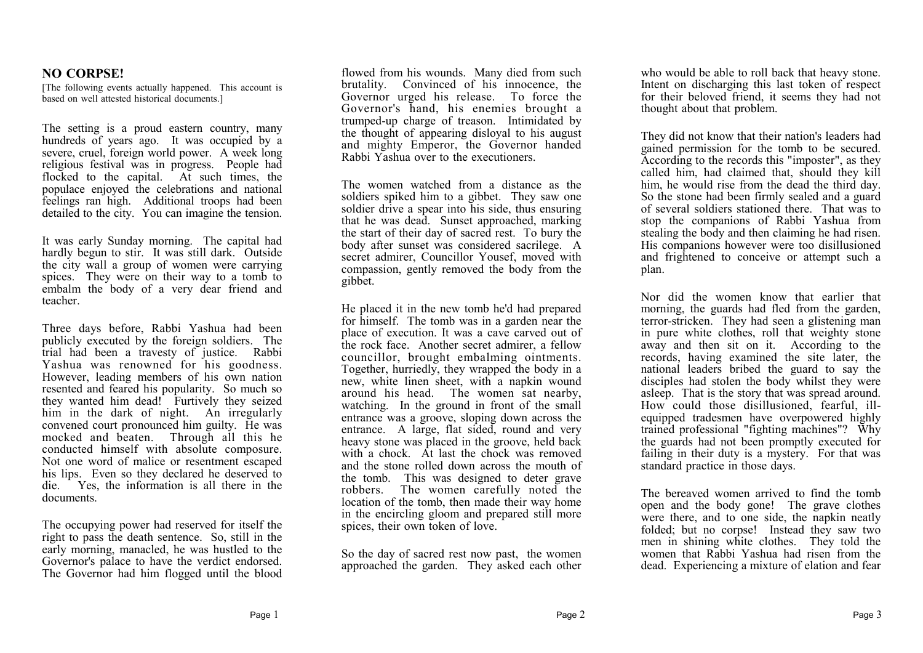## **NO CORPSE!**

[The following events actually happened. This account is based on well attested historical documents.]

The setting is a proud eastern country, many hundreds of years ago. It was occupied by a severe, cruel, foreign world power. A week long religious festival was in progress. People had flocked to the capital. At such times, the populace enjoyed the celebrations and national feelings ran high. Additional troops had been detailed to the city. You can imagine the tension.

It was early Sunday morning. The capital had hardly begun to stir. It was still dark. Outside the city wall a group of women were carrying spices. They were on their way to a tomb to embalm the body of a very dear friend and teacher.

Three days before, Rabbi Yashua had been publicly executed by the foreign soldiers. The trial had been a travesty of justice. Rabbi Yashua was renowned for his goodness. However, leading members of his own nation resented and feared his popularity. So much so they wanted him dead! Furtively they seized him in the dark of night. An irregularly convened court pronounced him guilty. He was mocked and beaten. Through all this he conducted himself with absolute composure. Not one word of malice or resentment escaped his lips. Even so they declared he deserved to die. Yes, the information is all there in the documents.

The occupying power had reserved for itself the right to pass the death sentence. So, still in the early morning, manacled, he was hustled to the Governor's palace to have the verdict endorsed. The Governor had him flogged until the blood

flowed from his wounds. Many died from such brutality. Convinced of his innocence, the Governor urged his release. To force the Governor's hand, his enemies brought a trumped-up charge of treason. Intimidated by the thought of appearing disloyal to his august and mighty Emperor, the Governor handed Rabbi Yashua over to the executioners.

The women watched from a distance as the soldiers spiked him to a gibbet. They saw one soldier drive a spear into his side, thus ensuring that he was dead. Sunset approached, marking the start of their day of sacred rest. To bury the body after sunset was considered sacrilege. A secret admirer, Councillor Yousef, moved with compassion, gently removed the body from the gibbet.

He placed it in the new tomb he'd had prepared for himself. The tomb was in a garden near the place of execution. It was a cave carved out of the rock face. Another secret admirer, a fellow councillor, brought embalming ointments. Together, hurriedly, they wrapped the body in a new, white linen sheet, with a napkin wound around his head. The women sat nearby, watching. In the ground in front of the small entrance was a groove, sloping down across the entrance. A large, flat sided, round and very heavy stone was placed in the groove, held back with a chock. At last the chock was removed and the stone rolled down across the mouth of the tomb. This was designed to deter grave robbers. The women carefully noted the location of the tomb, then made their way home in the encircling gloom and prepared still more spices, their own token of love.

So the day of sacred rest now past, the women approached the garden. They asked each other

who would be able to roll back that heavy stone. Intent on discharging this last token of respect for their beloved friend, it seems they had not thought about that problem.

They did not know that their nation's leaders had gained permission for the tomb to be secured. According to the records this "imposter", as they called him, had claimed that, should they kill him, he would rise from the dead the third day. So the stone had been firmly sealed and a guard of several soldiers stationed there. That was to stop the companions of Rabbi Yashua from stealing the body and then claiming he had risen. His companions however were too disillusioned and frightened to conceive or attempt such a plan.

Nor did the women know that earlier that morning, the guards had fled from the garden, terror-stricken. They had seen a glistening man in pure white clothes, roll that weighty stone away and then sit on it. According to the records, having examined the site later, the national leaders bribed the guard to say the disciples had stolen the body whilst they were asleep. That is the story that was spread around. How could those disillusioned, fearful, illequipped tradesmen have overpowered highly trained professional "fighting machines"? Why the guards had not been promptly executed for failing in their duty is a mystery. For that was standard practice in those days.

The bereaved women arrived to find the tomb open and the body gone! The grave clothes were there, and to one side, the napkin neatly folded; but no corpse! Instead they saw two men in shining white clothes. They told the women that Rabbi Yashua had risen from the dead. Experiencing a mixture of elation and fear